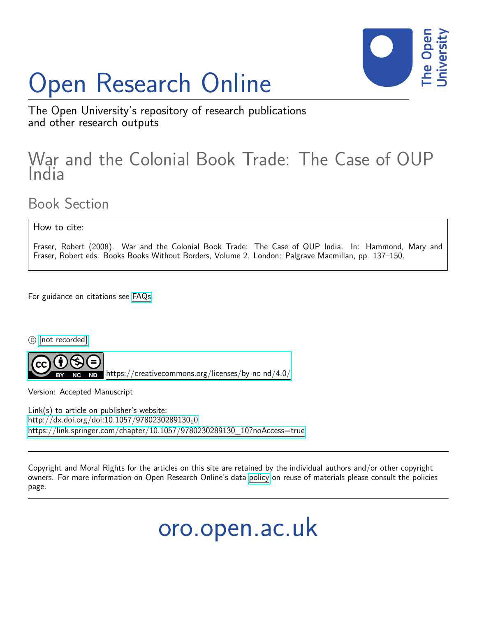# Open Research Online



The Open University's repository of research publications and other research outputs

# War and the Colonial Book Trade: The Case of OUP India

Book Section

How to cite:

Fraser, Robert (2008). War and the Colonial Book Trade: The Case of OUP India. In: Hammond, Mary and Fraser, Robert eds. Books Books Without Borders, Volume 2. London: Palgrave Macmillan, pp. 137–150.

For guidance on citations see [FAQs.](http://oro.open.ac.uk/help/helpfaq.html)

 $\circled{c}$  [\[not recorded\]](http://oro.open.ac.uk/help/helpfaq.html#Unrecorded_information_on_coversheet)



<https://creativecommons.org/licenses/by-nc-nd/4.0/>

Version: Accepted Manuscript

Link(s) to article on publisher's website: [http://dx.doi.org/doi:10.1057/9780230289130](http://dx.doi.org/doi:10.1057/9780230289130_10)10 [https://link.springer.com/chapter/10.1057/9780230289130\\_10?noAccess=true](https://link.springer.com/chapter/10.1057/9780230289130_10?noAccess=true)

Copyright and Moral Rights for the articles on this site are retained by the individual authors and/or other copyright owners. For more information on Open Research Online's data [policy](http://oro.open.ac.uk/policies.html) on reuse of materials please consult the policies page.

oro.open.ac.uk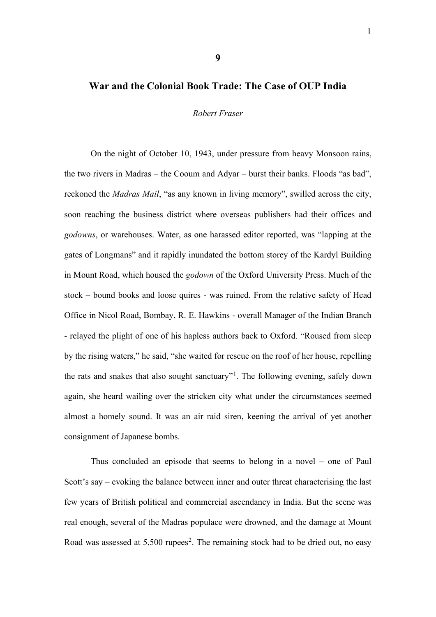## **War and the Colonial Book Trade: The Case of OUP India**

**9**

#### *Robert Fraser*

On the night of October 10, 1943, under pressure from heavy Monsoon rains, the two rivers in Madras – the Cooum and Adyar – burst their banks. Floods "as bad", reckoned the *Madras Mail*, "as any known in living memory", swilled across the city, soon reaching the business district where overseas publishers had their offices and *godowns*, or warehouses. Water, as one harassed editor reported, was "lapping at the gates of Longmans" and it rapidly inundated the bottom storey of the Kardyl Building in Mount Road, which housed the *godown* of the Oxford University Press. Much of the stock – bound books and loose quires - was ruined. From the relative safety of Head Office in Nicol Road, Bombay, R. E. Hawkins - overall Manager of the Indian Branch - relayed the plight of one of his hapless authors back to Oxford. "Roused from sleep by the rising waters," he said, "she waited for rescue on the roof of her house, repelling the rats and snakes that also sought sanctuary"<sup>[1](#page-16-0)</sup>. The following evening, safely down again, she heard wailing over the stricken city what under the circumstances seemed almost a homely sound. It was an air raid siren, keening the arrival of yet another consignment of Japanese bombs.

Thus concluded an episode that seems to belong in a novel – one of Paul Scott's say – evoking the balance between inner and outer threat characterising the last few years of British political and commercial ascendancy in India. But the scene was real enough, several of the Madras populace were drowned, and the damage at Mount Road was assessed at 5,500 rupees<sup>[2](#page-17-0)</sup>. The remaining stock had to be dried out, no easy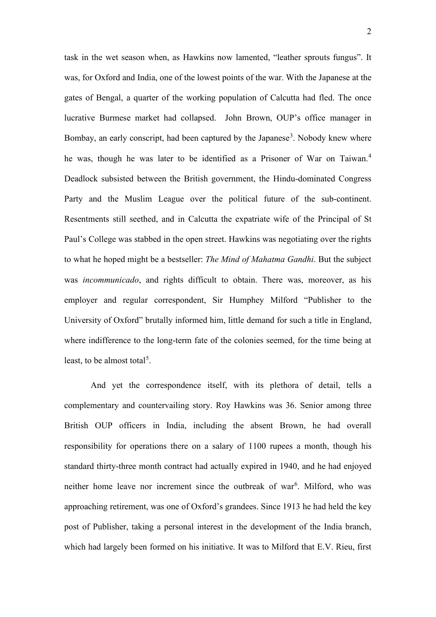task in the wet season when, as Hawkins now lamented, "leather sprouts fungus". It was, for Oxford and India, one of the lowest points of the war. With the Japanese at the gates of Bengal, a quarter of the working population of Calcutta had fled. The once lucrative Burmese market had collapsed. John Brown, OUP's office manager in Bombay, an early conscript, had been captured by the Japanese<sup>[3](#page-17-1)</sup>. Nobody knew where he was, though he was later to be identified as a Prisoner of War on Taiwan.<sup>[4](#page-17-2)</sup> Deadlock subsisted between the British government, the Hindu-dominated Congress Party and the Muslim League over the political future of the sub-continent. Resentments still seethed, and in Calcutta the expatriate wife of the Principal of St Paul's College was stabbed in the open street. Hawkins was negotiating over the rights to what he hoped might be a bestseller: *The Mind of Mahatma Gandhi*. But the subject was *incommunicado*, and rights difficult to obtain. There was, moreover, as his employer and regular correspondent, Sir Humphey Milford "Publisher to the University of Oxford" brutally informed him, little demand for such a title in England, where indifference to the long-term fate of the colonies seemed, for the time being at least, to be almost total<sup>[5](#page-17-3)</sup>.

And yet the correspondence itself, with its plethora of detail, tells a complementary and countervailing story. Roy Hawkins was 36. Senior among three British OUP officers in India, including the absent Brown, he had overall responsibility for operations there on a salary of 1100 rupees a month, though his standard thirty-three month contract had actually expired in 1940, and he had enjoyed neither home leave nor increment since the outbreak of war<sup>[6](#page-17-4)</sup>. Milford, who was approaching retirement, was one of Oxford's grandees. Since 1913 he had held the key post of Publisher, taking a personal interest in the development of the India branch, which had largely been formed on his initiative. It was to Milford that E.V. Rieu, first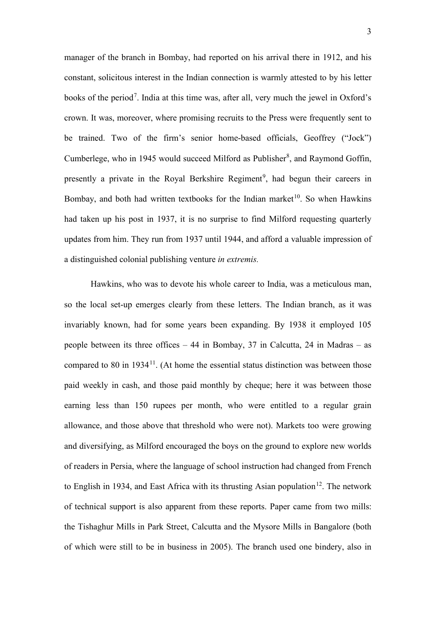manager of the branch in Bombay, had reported on his arrival there in 1912, and his constant, solicitous interest in the Indian connection is warmly attested to by his letter books of the period<sup>[7](#page-17-5)</sup>. India at this time was, after all, very much the jewel in Oxford's crown. It was, moreover, where promising recruits to the Press were frequently sent to be trained. Two of the firm's senior home-based officials, Geoffrey ("Jock") Cumberlege, who in 1945 would succeed Milford as Publisher<sup>[8](#page-17-6)</sup>, and Raymond Goffin, presently a private in the Royal Berkshire Regiment<sup>[9](#page-17-7)</sup>, had begun their careers in Bombay, and both had written textbooks for the Indian market<sup>10</sup>. So when Hawkins had taken up his post in 1937, it is no surprise to find Milford requesting quarterly updates from him. They run from 1937 until 1944, and afford a valuable impression of a distinguished colonial publishing venture *in extremis.*

Hawkins, who was to devote his whole career to India, was a meticulous man, so the local set-up emerges clearly from these letters. The Indian branch, as it was invariably known, had for some years been expanding. By 1938 it employed 105 people between its three offices – 44 in Bombay, 37 in Calcutta, 24 in Madras – as compared to 80 in  $1934<sup>11</sup>$ . (At home the essential status distinction was between those paid weekly in cash, and those paid monthly by cheque; here it was between those earning less than 150 rupees per month, who were entitled to a regular grain allowance, and those above that threshold who were not). Markets too were growing and diversifying, as Milford encouraged the boys on the ground to explore new worlds of readers in Persia, where the language of school instruction had changed from French to English in 1934, and East Africa with its thrusting Asian population<sup>12</sup>. The network of technical support is also apparent from these reports. Paper came from two mills: the Tishaghur Mills in Park Street, Calcutta and the Mysore Mills in Bangalore (both of which were still to be in business in 2005). The branch used one bindery, also in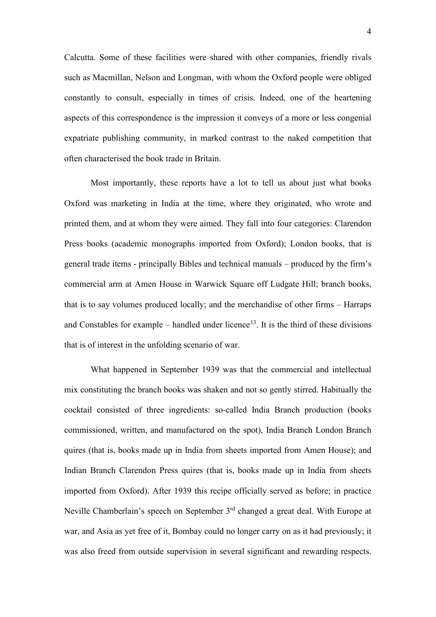Calcutta. Some of these facilities were shared with other companies, friendly rivals such as Macmillan, Nelson and Longman, with whom the Oxford people were obliged constantly to consult, especially in times of crisis. Indeed, one of the heartening aspects of this correspondence is the impression it conveys of a more or less congenial expatriate publishing community, in marked contrast to the naked competition that often characterised the book trade in Britain.

Most importantly, these reports have a lot to tell us about just what books Oxford was marketing in India at the time, where they originated, who wrote and printed them, and at whom they were aimed. They fall into four categories: Clarendon Press books (academic monographs imported from Oxford); London books, that is general trade items - principally Bibles and technical manuals – produced by the firm's commercial arm at Amen House in Warwick Square off Ludgate Hill; branch books, that is to say volumes produced locally; and the merchandise of other firms – Harraps and Constables for example – handled under licence<sup>[13](#page-18-3)</sup>. It is the third of these divisions that is of interest in the unfolding scenario of war.

What happened in September 1939 was that the commercial and intellectual mix constituting the branch books was shaken and not so gently stirred. Habitually the cocktail consisted of three ingredients: so-called India Branch production (books commissioned, written, and manufactured on the spot), India Branch London Branch quires (that is, books made up in India from sheets imported from Amen House); and Indian Branch Clarendon Press quires (that is, books made up in India from sheets imported from Oxford). After 1939 this recipe officially served as before; in practice Neville Chamberlain's speech on September 3<sup>rd</sup> changed a great deal. With Europe at war, and Asia as yet free of it, Bombay could no longer carry on as it had previously; it was also freed from outside supervision in several significant and rewarding respects.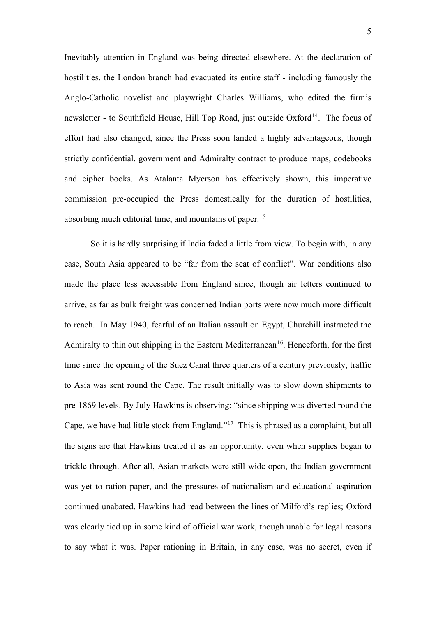Inevitably attention in England was being directed elsewhere. At the declaration of hostilities, the London branch had evacuated its entire staff - including famously the Anglo-Catholic novelist and playwright Charles Williams, who edited the firm's newsletter - to Southfield House, Hill Top Road, just outside Oxford<sup>[14](#page-18-4)</sup>. The focus of effort had also changed, since the Press soon landed a highly advantageous, though strictly confidential, government and Admiralty contract to produce maps, codebooks and cipher books. As Atalanta Myerson has effectively shown, this imperative commission pre-occupied the Press domestically for the duration of hostilities, absorbing much editorial time, and mountains of paper.<sup>[15](#page-18-5)</sup>

So it is hardly surprising if India faded a little from view. To begin with, in any case, South Asia appeared to be "far from the seat of conflict". War conditions also made the place less accessible from England since, though air letters continued to arrive, as far as bulk freight was concerned Indian ports were now much more difficult to reach. In May 1940, fearful of an Italian assault on Egypt, Churchill instructed the Admiralty to thin out shipping in the Eastern Mediterranean<sup>16</sup>. Henceforth, for the first time since the opening of the Suez Canal three quarters of a century previously, traffic to Asia was sent round the Cape. The result initially was to slow down shipments to pre-1869 levels. By July Hawkins is observing: "since shipping was diverted round the Cape, we have had little stock from England."<sup>[17](#page-18-7)</sup> This is phrased as a complaint, but all the signs are that Hawkins treated it as an opportunity, even when supplies began to trickle through. After all, Asian markets were still wide open, the Indian government was yet to ration paper, and the pressures of nationalism and educational aspiration continued unabated. Hawkins had read between the lines of Milford's replies; Oxford was clearly tied up in some kind of official war work, though unable for legal reasons to say what it was. Paper rationing in Britain, in any case, was no secret, even if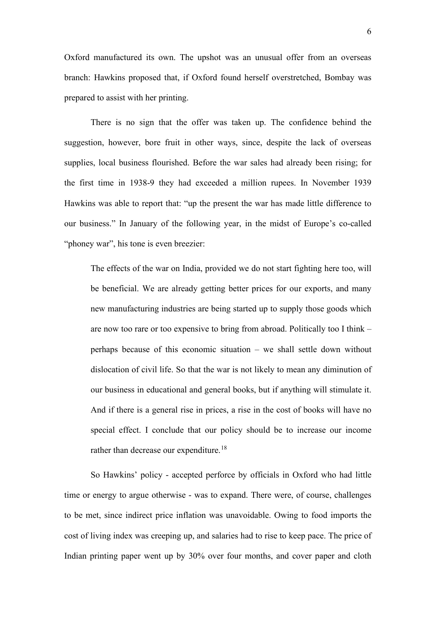Oxford manufactured its own. The upshot was an unusual offer from an overseas branch: Hawkins proposed that, if Oxford found herself overstretched, Bombay was prepared to assist with her printing.

There is no sign that the offer was taken up. The confidence behind the suggestion, however, bore fruit in other ways, since, despite the lack of overseas supplies, local business flourished. Before the war sales had already been rising; for the first time in 1938-9 they had exceeded a million rupees. In November 1939 Hawkins was able to report that: "up the present the war has made little difference to our business." In January of the following year, in the midst of Europe's co-called "phoney war", his tone is even breezier:

The effects of the war on India, provided we do not start fighting here too, will be beneficial. We are already getting better prices for our exports, and many new manufacturing industries are being started up to supply those goods which are now too rare or too expensive to bring from abroad. Politically too I think – perhaps because of this economic situation – we shall settle down without dislocation of civil life. So that the war is not likely to mean any diminution of our business in educational and general books, but if anything will stimulate it. And if there is a general rise in prices, a rise in the cost of books will have no special effect. I conclude that our policy should be to increase our income rather than decrease our expenditure.<sup>[18](#page-18-8)</sup>

So Hawkins' policy - accepted perforce by officials in Oxford who had little time or energy to argue otherwise - was to expand. There were, of course, challenges to be met, since indirect price inflation was unavoidable. Owing to food imports the cost of living index was creeping up, and salaries had to rise to keep pace. The price of Indian printing paper went up by 30% over four months, and cover paper and cloth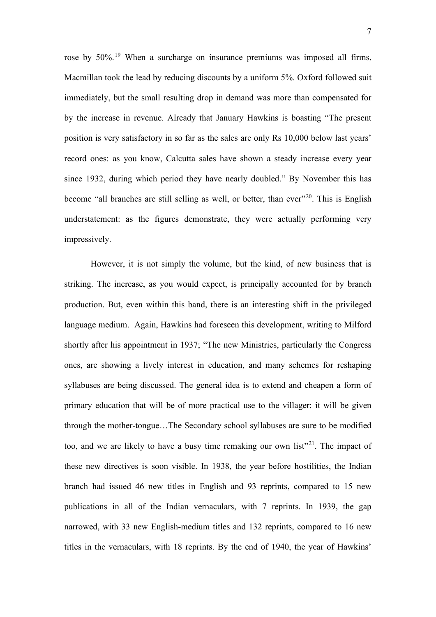rose by 50%.[19](#page-18-9) When a surcharge on insurance premiums was imposed all firms, Macmillan took the lead by reducing discounts by a uniform 5%. Oxford followed suit immediately, but the small resulting drop in demand was more than compensated for by the increase in revenue. Already that January Hawkins is boasting "The present position is very satisfactory in so far as the sales are only Rs 10,000 below last years' record ones: as you know, Calcutta sales have shown a steady increase every year since 1932, during which period they have nearly doubled." By November this has become "all branches are still selling as well, or better, than ever"<sup>20</sup>. This is English understatement: as the figures demonstrate, they were actually performing very impressively.

However, it is not simply the volume, but the kind, of new business that is striking. The increase, as you would expect, is principally accounted for by branch production. But, even within this band, there is an interesting shift in the privileged language medium. Again, Hawkins had foreseen this development, writing to Milford shortly after his appointment in 1937; "The new Ministries, particularly the Congress ones, are showing a lively interest in education, and many schemes for reshaping syllabuses are being discussed. The general idea is to extend and cheapen a form of primary education that will be of more practical use to the villager: it will be given through the mother-tongue…The Secondary school syllabuses are sure to be modified too, and we are likely to have a busy time remaking our own list"<sup>21</sup>. The impact of these new directives is soon visible. In 1938, the year before hostilities, the Indian branch had issued 46 new titles in English and 93 reprints, compared to 15 new publications in all of the Indian vernaculars, with 7 reprints. In 1939, the gap narrowed, with 33 new English-medium titles and 132 reprints, compared to 16 new titles in the vernaculars, with 18 reprints. By the end of 1940, the year of Hawkins'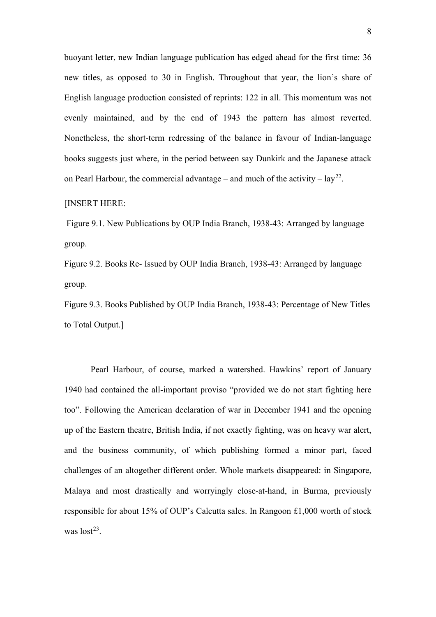buoyant letter, new Indian language publication has edged ahead for the first time: 36 new titles, as opposed to 30 in English. Throughout that year, the lion's share of English language production consisted of reprints: 122 in all. This momentum was not evenly maintained, and by the end of 1943 the pattern has almost reverted. Nonetheless, the short-term redressing of the balance in favour of Indian-language books suggests just where, in the period between say Dunkirk and the Japanese attack on Pearl Harbour, the commercial advantage – and much of the activity –  $\text{lay}^{22}$  $\text{lay}^{22}$  $\text{lay}^{22}$ .

### [INSERT HERE:

Figure 9.1. New Publications by OUP India Branch, 1938-43: Arranged by language group.

Figure 9.2. Books Re- Issued by OUP India Branch, 1938-43: Arranged by language group.

Figure 9.3. Books Published by OUP India Branch, 1938-43: Percentage of New Titles to Total Output.]

Pearl Harbour, of course, marked a watershed. Hawkins' report of January 1940 had contained the all-important proviso "provided we do not start fighting here too". Following the American declaration of war in December 1941 and the opening up of the Eastern theatre, British India, if not exactly fighting, was on heavy war alert, and the business community, of which publishing formed a minor part, faced challenges of an altogether different order. Whole markets disappeared: in Singapore, Malaya and most drastically and worryingly close-at-hand, in Burma, previously responsible for about 15% of OUP's Calcutta sales. In Rangoon £1,000 worth of stock was  $\text{lost}^{23}$  $\text{lost}^{23}$  $\text{lost}^{23}$ .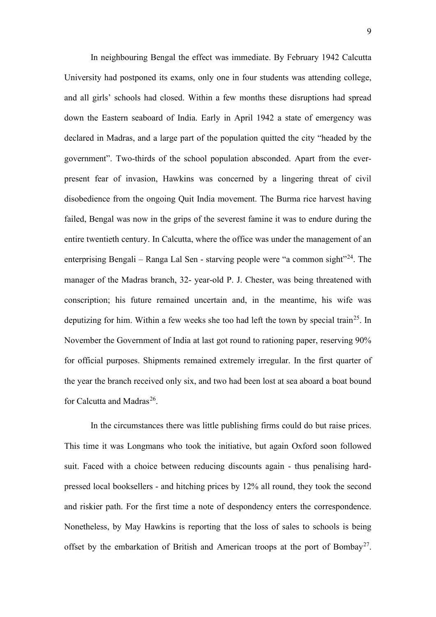In neighbouring Bengal the effect was immediate. By February 1942 Calcutta University had postponed its exams, only one in four students was attending college, and all girls' schools had closed. Within a few months these disruptions had spread down the Eastern seaboard of India. Early in April 1942 a state of emergency was declared in Madras, and a large part of the population quitted the city "headed by the government". Two-thirds of the school population absconded. Apart from the everpresent fear of invasion, Hawkins was concerned by a lingering threat of civil disobedience from the ongoing Quit India movement. The Burma rice harvest having failed, Bengal was now in the grips of the severest famine it was to endure during the entire twentieth century. In Calcutta, where the office was under the management of an enterprising Bengali – Ranga Lal Sen - starving people were "a common sight"<sup>[24](#page-19-0)</sup>. The manager of the Madras branch, 32- year-old P. J. Chester, was being threatened with conscription; his future remained uncertain and, in the meantime, his wife was deputizing for him. Within a few weeks she too had left the town by special train<sup>[25](#page-19-1)</sup>. In November the Government of India at last got round to rationing paper, reserving 90% for official purposes. Shipments remained extremely irregular. In the first quarter of the year the branch received only six, and two had been lost at sea aboard a boat bound for Calcutta and Madras<sup>26</sup>.

In the circumstances there was little publishing firms could do but raise prices. This time it was Longmans who took the initiative, but again Oxford soon followed suit. Faced with a choice between reducing discounts again - thus penalising hardpressed local booksellers - and hitching prices by 12% all round, they took the second and riskier path. For the first time a note of despondency enters the correspondence. Nonetheless, by May Hawkins is reporting that the loss of sales to schools is being offset by the embarkation of British and American troops at the port of Bombay<sup>[27](#page-19-3)</sup>.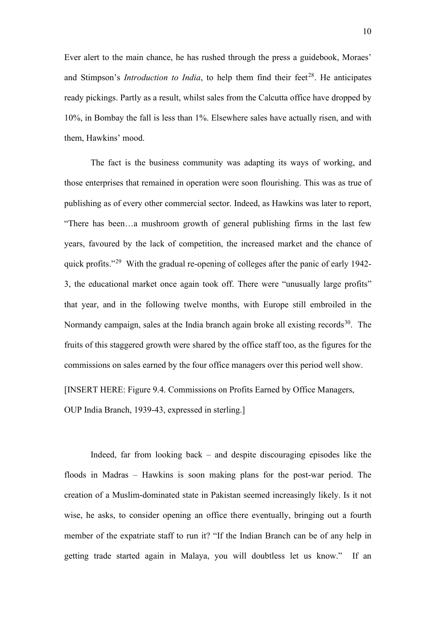Ever alert to the main chance, he has rushed through the press a guidebook, Moraes' and Stimpson's *Introduction to India*, to help them find their feet<sup>[28](#page-19-4)</sup>. He anticipates ready pickings. Partly as a result, whilst sales from the Calcutta office have dropped by 10%, in Bombay the fall is less than 1%. Elsewhere sales have actually risen, and with them, Hawkins' mood.

The fact is the business community was adapting its ways of working, and those enterprises that remained in operation were soon flourishing. This was as true of publishing as of every other commercial sector. Indeed, as Hawkins was later to report, "There has been…a mushroom growth of general publishing firms in the last few years, favoured by the lack of competition, the increased market and the chance of quick profits."[29](#page-19-5) With the gradual re-opening of colleges after the panic of early 1942- 3, the educational market once again took off. There were "unusually large profits" that year, and in the following twelve months, with Europe still embroiled in the Normandy campaign, sales at the India branch again broke all existing records<sup>30</sup>. The fruits of this staggered growth were shared by the office staff too, as the figures for the commissions on sales earned by the four office managers over this period well show.

[INSERT HERE: Figure 9.4. Commissions on Profits Earned by Office Managers,

OUP India Branch, 1939-43, expressed in sterling.]

Indeed, far from looking back – and despite discouraging episodes like the floods in Madras – Hawkins is soon making plans for the post-war period. The creation of a Muslim-dominated state in Pakistan seemed increasingly likely. Is it not wise, he asks, to consider opening an office there eventually, bringing out a fourth member of the expatriate staff to run it? "If the Indian Branch can be of any help in getting trade started again in Malaya, you will doubtless let us know." If an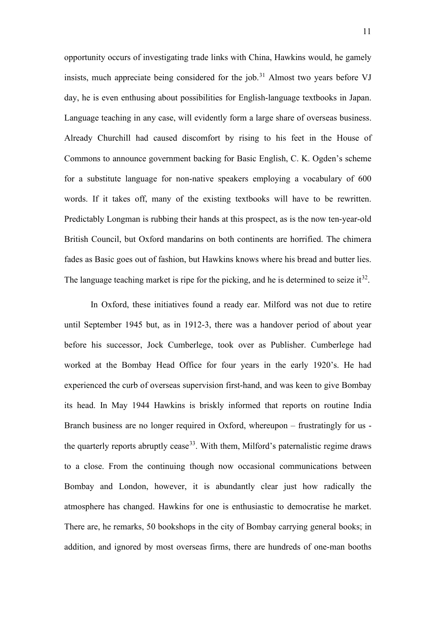opportunity occurs of investigating trade links with China, Hawkins would, he gamely insists, much appreciate being considered for the job.<sup>[31](#page-19-7)</sup> Almost two years before VJ day, he is even enthusing about possibilities for English-language textbooks in Japan. Language teaching in any case, will evidently form a large share of overseas business. Already Churchill had caused discomfort by rising to his feet in the House of Commons to announce government backing for Basic English, C. K. Ogden's scheme for a substitute language for non-native speakers employing a vocabulary of 600 words. If it takes off, many of the existing textbooks will have to be rewritten. Predictably Longman is rubbing their hands at this prospect, as is the now ten-year-old British Council, but Oxford mandarins on both continents are horrified. The chimera fades as Basic goes out of fashion, but Hawkins knows where his bread and butter lies. The language teaching market is ripe for the picking, and he is determined to seize it  $3^2$ .

In Oxford, these initiatives found a ready ear. Milford was not due to retire until September 1945 but, as in 1912-3, there was a handover period of about year before his successor, Jock Cumberlege, took over as Publisher. Cumberlege had worked at the Bombay Head Office for four years in the early 1920's. He had experienced the curb of overseas supervision first-hand, and was keen to give Bombay its head. In May 1944 Hawkins is briskly informed that reports on routine India Branch business are no longer required in Oxford, whereupon – frustratingly for us - the quarterly reports abruptly cease<sup>[33](#page-19-9)</sup>. With them, Milford's paternalistic regime draws to a close. From the continuing though now occasional communications between Bombay and London, however, it is abundantly clear just how radically the atmosphere has changed. Hawkins for one is enthusiastic to democratise he market. There are, he remarks, 50 bookshops in the city of Bombay carrying general books; in addition, and ignored by most overseas firms, there are hundreds of one-man booths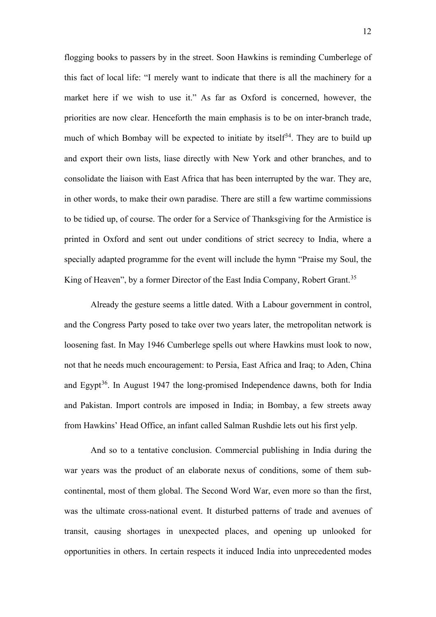flogging books to passers by in the street. Soon Hawkins is reminding Cumberlege of this fact of local life: "I merely want to indicate that there is all the machinery for a market here if we wish to use it." As far as Oxford is concerned, however, the priorities are now clear. Henceforth the main emphasis is to be on inter-branch trade, much of which Bombay will be expected to initiate by itself<sup>34</sup>. They are to build up and export their own lists, liase directly with New York and other branches, and to consolidate the liaison with East Africa that has been interrupted by the war. They are, in other words, to make their own paradise. There are still a few wartime commissions to be tidied up, of course. The order for a Service of Thanksgiving for the Armistice is printed in Oxford and sent out under conditions of strict secrecy to India, where a specially adapted programme for the event will include the hymn "Praise my Soul, the King of Heaven", by a former Director of the East India Company, Robert Grant.<sup>[35](#page-19-11)</sup>

Already the gesture seems a little dated. With a Labour government in control, and the Congress Party posed to take over two years later, the metropolitan network is loosening fast. In May 1946 Cumberlege spells out where Hawkins must look to now, not that he needs much encouragement: to Persia, East Africa and Iraq; to Aden, China and Egypt<sup>36</sup>. In August 1947 the long-promised Independence dawns, both for India and Pakistan. Import controls are imposed in India; in Bombay, a few streets away from Hawkins' Head Office, an infant called Salman Rushdie lets out his first yelp.

And so to a tentative conclusion. Commercial publishing in India during the war years was the product of an elaborate nexus of conditions, some of them subcontinental, most of them global. The Second Word War, even more so than the first, was the ultimate cross-national event. It disturbed patterns of trade and avenues of transit, causing shortages in unexpected places, and opening up unlooked for opportunities in others. In certain respects it induced India into unprecedented modes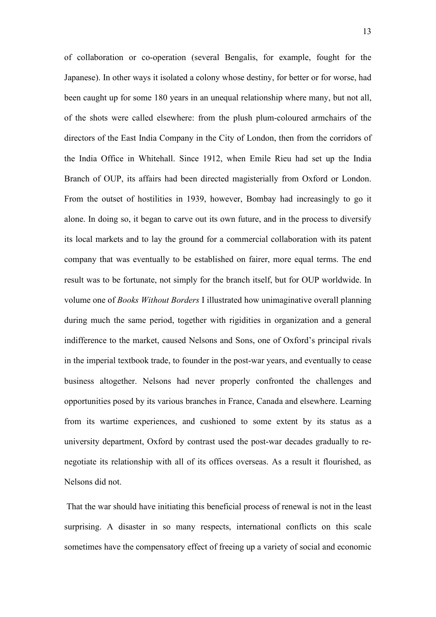of collaboration or co-operation (several Bengalis, for example, fought for the Japanese). In other ways it isolated a colony whose destiny, for better or for worse, had been caught up for some 180 years in an unequal relationship where many, but not all, of the shots were called elsewhere: from the plush plum-coloured armchairs of the directors of the East India Company in the City of London, then from the corridors of the India Office in Whitehall. Since 1912, when Emile Rieu had set up the India Branch of OUP, its affairs had been directed magisterially from Oxford or London. From the outset of hostilities in 1939, however, Bombay had increasingly to go it alone. In doing so, it began to carve out its own future, and in the process to diversify its local markets and to lay the ground for a commercial collaboration with its patent company that was eventually to be established on fairer, more equal terms. The end result was to be fortunate, not simply for the branch itself, but for OUP worldwide. In volume one of *Books Without Borders* I illustrated how unimaginative overall planning during much the same period, together with rigidities in organization and a general indifference to the market, caused Nelsons and Sons, one of Oxford's principal rivals in the imperial textbook trade, to founder in the post-war years, and eventually to cease business altogether. Nelsons had never properly confronted the challenges and opportunities posed by its various branches in France, Canada and elsewhere. Learning from its wartime experiences, and cushioned to some extent by its status as a university department, Oxford by contrast used the post-war decades gradually to renegotiate its relationship with all of its offices overseas. As a result it flourished, as Nelsons did not.

That the war should have initiating this beneficial process of renewal is not in the least surprising. A disaster in so many respects, international conflicts on this scale sometimes have the compensatory effect of freeing up a variety of social and economic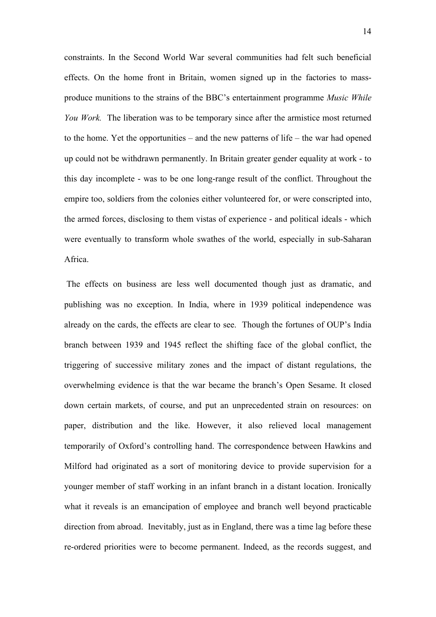constraints. In the Second World War several communities had felt such beneficial effects. On the home front in Britain, women signed up in the factories to massproduce munitions to the strains of the BBC's entertainment programme *Music While You Work.* The liberation was to be temporary since after the armistice most returned to the home. Yet the opportunities – and the new patterns of life – the war had opened up could not be withdrawn permanently. In Britain greater gender equality at work - to this day incomplete - was to be one long-range result of the conflict. Throughout the empire too, soldiers from the colonies either volunteered for, or were conscripted into, the armed forces, disclosing to them vistas of experience - and political ideals - which were eventually to transform whole swathes of the world, especially in sub-Saharan Africa.

The effects on business are less well documented though just as dramatic, and publishing was no exception. In India, where in 1939 political independence was already on the cards, the effects are clear to see. Though the fortunes of OUP's India branch between 1939 and 1945 reflect the shifting face of the global conflict, the triggering of successive military zones and the impact of distant regulations, the overwhelming evidence is that the war became the branch's Open Sesame. It closed down certain markets, of course, and put an unprecedented strain on resources: on paper, distribution and the like. However, it also relieved local management temporarily of Oxford's controlling hand. The correspondence between Hawkins and Milford had originated as a sort of monitoring device to provide supervision for a younger member of staff working in an infant branch in a distant location. Ironically what it reveals is an emancipation of employee and branch well beyond practicable direction from abroad. Inevitably, just as in England, there was a time lag before these re-ordered priorities were to become permanent. Indeed, as the records suggest, and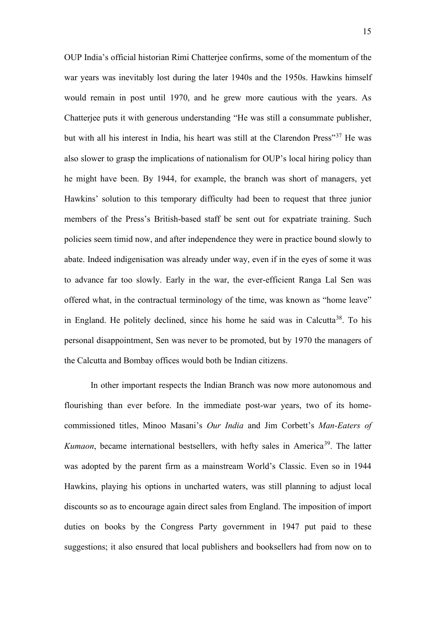OUP India's official historian Rimi Chatterjee confirms, some of the momentum of the war years was inevitably lost during the later 1940s and the 1950s. Hawkins himself would remain in post until 1970, and he grew more cautious with the years. As Chatterjee puts it with generous understanding "He was still a consummate publisher, but with all his interest in India, his heart was still at the Clarendon Press"[37](#page-20-0) He was also slower to grasp the implications of nationalism for OUP's local hiring policy than he might have been. By 1944, for example, the branch was short of managers, yet Hawkins' solution to this temporary difficulty had been to request that three junior members of the Press's British-based staff be sent out for expatriate training. Such policies seem timid now, and after independence they were in practice bound slowly to abate. Indeed indigenisation was already under way, even if in the eyes of some it was to advance far too slowly. Early in the war, the ever-efficient Ranga Lal Sen was offered what, in the contractual terminology of the time, was known as "home leave" in England. He politely declined, since his home he said was in Calcutta<sup>[38](#page-20-1)</sup>. To his personal disappointment, Sen was never to be promoted, but by 1970 the managers of the Calcutta and Bombay offices would both be Indian citizens.

In other important respects the Indian Branch was now more autonomous and flourishing than ever before. In the immediate post-war years, two of its homecommissioned titles, Minoo Masani's *Our India* and Jim Corbett's *Man-Eaters of Kumaon*, became international bestsellers, with hefty sales in America<sup>39</sup>. The latter was adopted by the parent firm as a mainstream World's Classic. Even so in 1944 Hawkins, playing his options in uncharted waters, was still planning to adjust local discounts so as to encourage again direct sales from England. The imposition of import duties on books by the Congress Party government in 1947 put paid to these suggestions; it also ensured that local publishers and booksellers had from now on to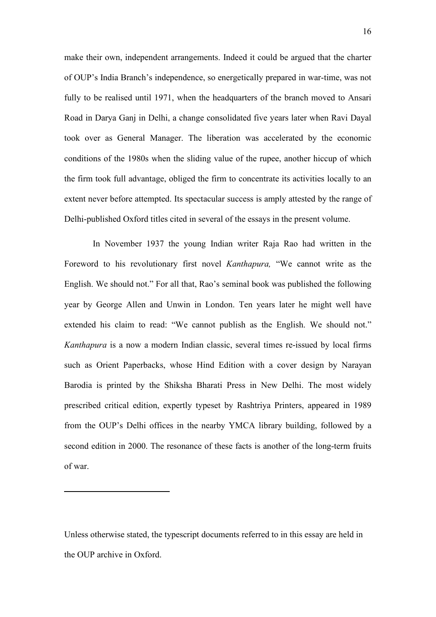make their own, independent arrangements. Indeed it could be argued that the charter of OUP's India Branch's independence, so energetically prepared in war-time, was not fully to be realised until 1971, when the headquarters of the branch moved to Ansari Road in Darya Ganj in Delhi, a change consolidated five years later when Ravi Dayal took over as General Manager. The liberation was accelerated by the economic conditions of the 1980s when the sliding value of the rupee, another hiccup of which the firm took full advantage, obliged the firm to concentrate its activities locally to an extent never before attempted. Its spectacular success is amply attested by the range of Delhi-published Oxford titles cited in several of the essays in the present volume.

In November 1937 the young Indian writer Raja Rao had written in the Foreword to his revolutionary first novel *Kanthapura,* "We cannot write as the English. We should not." For all that, Rao's seminal book was published the following year by George Allen and Unwin in London. Ten years later he might well have extended his claim to read: "We cannot publish as the English. We should not." *Kanthapura* is a now a modern Indian classic, several times re-issued by local firms such as Orient Paperbacks, whose Hind Edition with a cover design by Narayan Barodia is printed by the Shiksha Bharati Press in New Delhi. The most widely prescribed critical edition, expertly typeset by Rashtriya Printers, appeared in 1989 from the OUP's Delhi offices in the nearby YMCA library building, followed by a second edition in 2000. The resonance of these facts is another of the long-term fruits of war.

<span id="page-16-0"></span>Unless otherwise stated, the typescript documents referred to in this essay are held in the OUP archive in Oxford.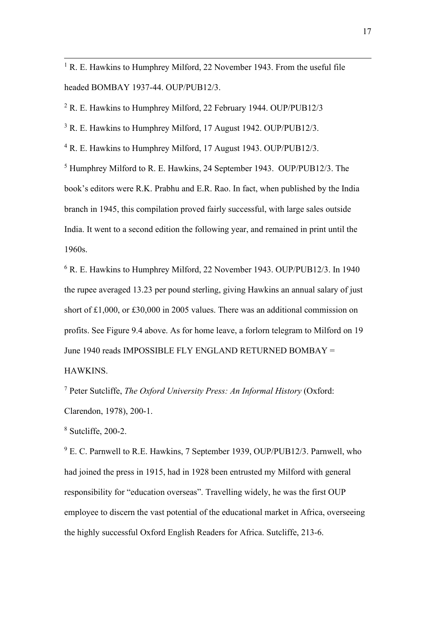<sup>1</sup> R. E. Hawkins to Humphrey Milford, 22 November 1943. From the useful file headed BOMBAY 1937-44. OUP/PUB12/3.

<span id="page-17-0"></span><sup>2</sup> R. E. Hawkins to Humphrey Milford, 22 February 1944. OUP/PUB12/3

<span id="page-17-1"></span><sup>3</sup> R. E. Hawkins to Humphrey Milford, 17 August 1942. OUP/PUB12/3.

<span id="page-17-2"></span><sup>4</sup> R. E. Hawkins to Humphrey Milford, 17 August 1943. OUP/PUB12/3.

<span id="page-17-3"></span><sup>5</sup> Humphrey Milford to R. E. Hawkins, 24 September 1943. OUP/PUB12/3. The book's editors were R.K. Prabhu and E.R. Rao. In fact, when published by the India branch in 1945, this compilation proved fairly successful, with large sales outside India. It went to a second edition the following year, and remained in print until the 1960s.

<span id="page-17-4"></span><sup>6</sup> R. E. Hawkins to Humphrey Milford, 22 November 1943. OUP/PUB12/3. In 1940 the rupee averaged 13.23 per pound sterling, giving Hawkins an annual salary of just short of £1,000, or £30,000 in 2005 values. There was an additional commission on profits. See Figure 9.4 above. As for home leave, a forlorn telegram to Milford on 19 June 1940 reads IMPOSSIBLE FLY ENGLAND RETURNED BOMBAY = HAWKINS.

<span id="page-17-5"></span><sup>7</sup> Peter Sutcliffe, *The Oxford University Press: An Informal History* (Oxford: Clarendon, 1978), 200-1.

<span id="page-17-6"></span> $8$  Sutcliffe, 200-2.

<span id="page-17-7"></span><sup>9</sup> E. C. Parnwell to R.E. Hawkins, 7 September 1939, OUP/PUB12/3. Parnwell, who had joined the press in 1915, had in 1928 been entrusted my Milford with general responsibility for "education overseas". Travelling widely, he was the first OUP employee to discern the vast potential of the educational market in Africa, overseeing the highly successful Oxford English Readers for Africa. Sutcliffe, 213-6.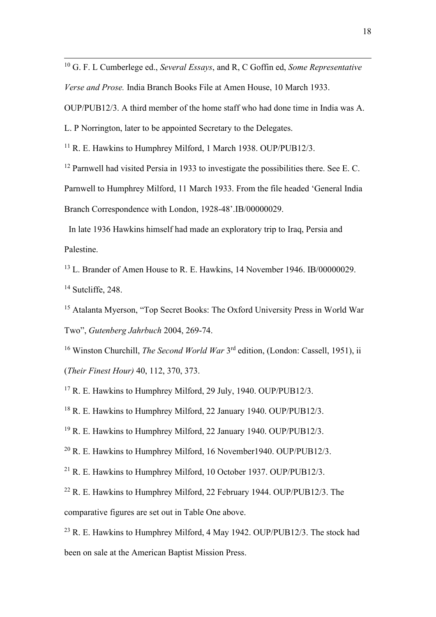<span id="page-18-0"></span><sup>10</sup> G. F. L Cumberlege ed., *Several Essays*, and R, C Goffin ed, *Some Representative Verse and Prose.* India Branch Books File at Amen House, 10 March 1933.

OUP/PUB12/3. A third member of the home staff who had done time in India was A.

L. P Norrington, later to be appointed Secretary to the Delegates.

<span id="page-18-1"></span><sup>11</sup> R. E. Hawkins to Humphrey Milford, 1 March 1938. OUP/PUB12/3.

<span id="page-18-2"></span> $12$  Parnwell had visited Persia in 1933 to investigate the possibilities there. See E. C.

Parnwell to Humphrey Milford, 11 March 1933. From the file headed 'General India Branch Correspondence with London, 1928-48'.IB/00000029.

 In late 1936 Hawkins himself had made an exploratory trip to Iraq, Persia and Palestine.

<span id="page-18-3"></span><sup>13</sup> L. Brander of Amen House to R. E. Hawkins, 14 November 1946, IB/00000029.  $14$  Sutcliffe, 248.

<span id="page-18-5"></span><span id="page-18-4"></span><sup>15</sup> Atalanta Myerson, "Top Secret Books: The Oxford University Press in World War Two", *Gutenberg Jahrbuch* 2004, 269-74.

<span id="page-18-6"></span><sup>16</sup> Winston Churchill, *The Second World War* 3<sup>rd</sup> edition, (London: Cassell, 1951), ii (*Their Finest Hour)* 40, 112, 370, 373.

<span id="page-18-7"></span><sup>17</sup> R. E. Hawkins to Humphrey Milford, 29 July, 1940. OUP/PUB12/3.

<span id="page-18-8"></span><sup>18</sup> R. E. Hawkins to Humphrey Milford, 22 January 1940. OUP/PUB12/3.

<span id="page-18-9"></span><sup>19</sup> R. E. Hawkins to Humphrey Milford, 22 January 1940. OUP/PUB12/3.

<span id="page-18-10"></span><sup>20</sup> R. E. Hawkins to Humphrey Milford, 16 November1940. OUP/PUB12/3.

<span id="page-18-11"></span><sup>21</sup> R. E. Hawkins to Humphrey Milford, 10 October 1937. OUP/PUB12/3.

<span id="page-18-12"></span><sup>22</sup> R. E. Hawkins to Humphrey Milford, 22 February 1944. OUP/PUB12/3. The comparative figures are set out in Table One above.

<span id="page-18-13"></span><sup>23</sup> R. E. Hawkins to Humphrey Milford, 4 May 1942. OUP/PUB12/3. The stock had been on sale at the American Baptist Mission Press.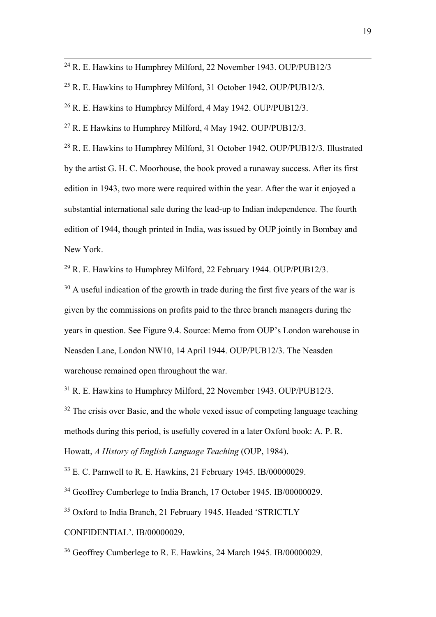<span id="page-19-0"></span><sup>24</sup> R. E. Hawkins to Humphrey Milford, 22 November 1943. OUP/PUB12/3

<span id="page-19-1"></span><sup>25</sup> R. E. Hawkins to Humphrey Milford, 31 October 1942. OUP/PUB12/3.

<span id="page-19-2"></span><sup>26</sup> R. E. Hawkins to Humphrey Milford, 4 May 1942. OUP/PUB12/3.

<span id="page-19-3"></span><sup>27</sup> R. E Hawkins to Humphrey Milford, 4 May 1942. OUP/PUB12/3.

<span id="page-19-4"></span><sup>28</sup> R. E. Hawkins to Humphrey Milford, 31 October 1942. OUP/PUB12/3. Illustrated by the artist G. H. C. Moorhouse, the book proved a runaway success. After its first edition in 1943, two more were required within the year. After the war it enjoyed a substantial international sale during the lead-up to Indian independence. The fourth edition of 1944, though printed in India, was issued by OUP jointly in Bombay and New York.

<span id="page-19-5"></span> $29$  R. E. Hawkins to Humphrey Milford, 22 February 1944. OUP/PUB12/3.

<span id="page-19-6"></span> $30$  A useful indication of the growth in trade during the first five years of the war is given by the commissions on profits paid to the three branch managers during the years in question. See Figure 9.4. Source: Memo from OUP's London warehouse in Neasden Lane, London NW10, 14 April 1944. OUP/PUB12/3. The Neasden warehouse remained open throughout the war.

<span id="page-19-7"></span><sup>31</sup> R. E. Hawkins to Humphrey Milford, 22 November 1943. OUP/PUB12/3.

<span id="page-19-8"></span> $32$  The crisis over Basic, and the whole vexed issue of competing language teaching methods during this period, is usefully covered in a later Oxford book: A. P. R. Howatt, *A History of English Language Teaching* (OUP, 1984).

<span id="page-19-9"></span> $33$  E. C. Parnwell to R. E. Hawkins, 21 February 1945. IB/00000029.

<span id="page-19-10"></span><sup>34</sup> Geoffrey Cumberlege to India Branch, 17 October 1945. IB/00000029.

<span id="page-19-11"></span><sup>35</sup> Oxford to India Branch, 21 February 1945. Headed 'STRICTLY

CONFIDENTIAL'. IB/00000029.

<span id="page-19-12"></span><sup>36</sup> Geoffrey Cumberlege to R. E. Hawkins, 24 March 1945. IB/00000029.